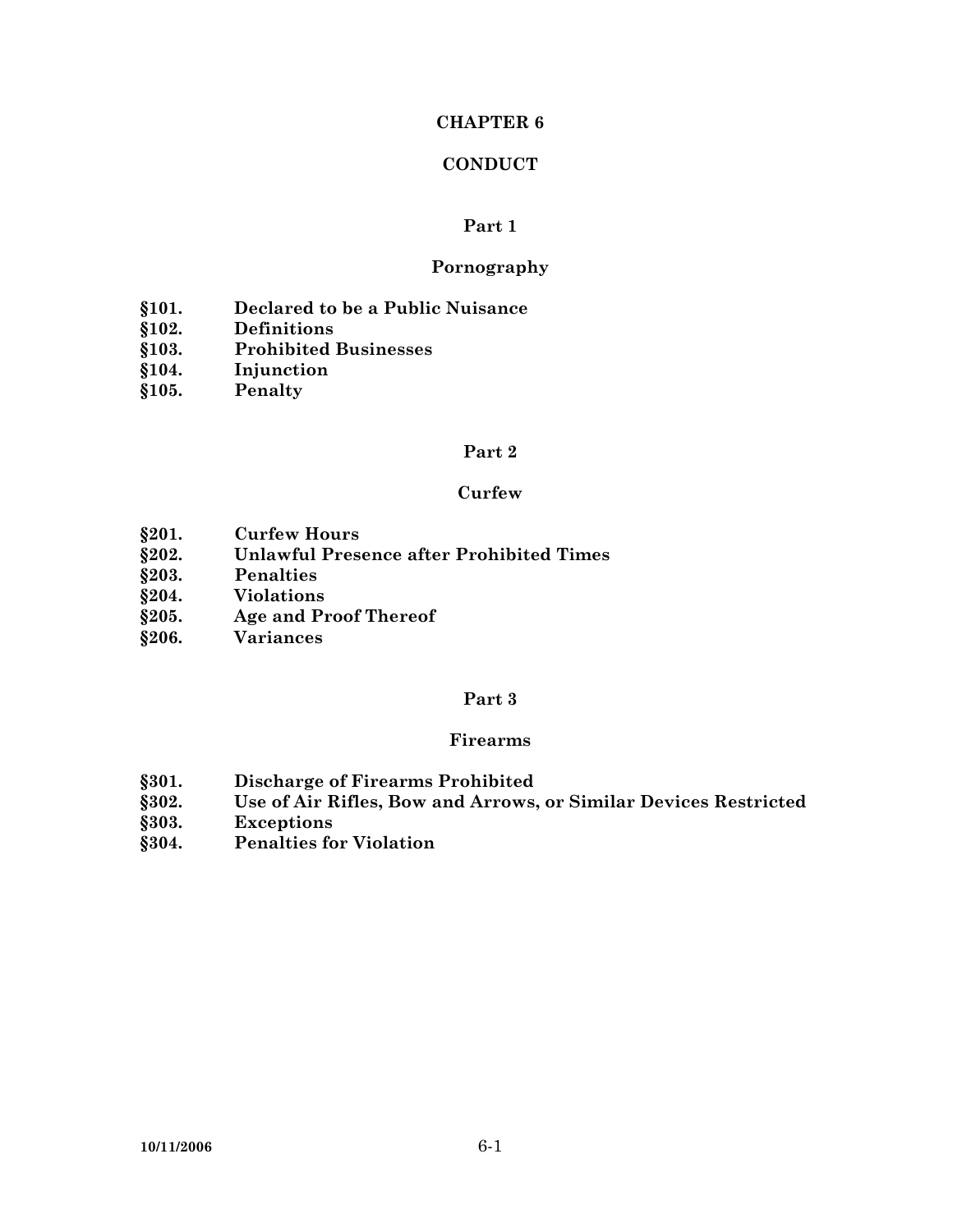# **CHAPTER 6**

# **CONDUCT**

#### **Part 1**

#### **Pornography**

- **§101. Declared to be a Public Nuisance**
- **§102. Definitions**
- **§103. Prohibited Businesses**
- **§104. Injunction**
- **§105. Penalty**

#### **Part 2**

#### **Curfew**

- **§201. Curfew Hours**
- **§202. Unlawful Presence after Prohibited Times**
- **§203. Penalties**
- **§204. Violations**
- **§205. Age and Proof Thereof**
- **§206. Variances**

#### **Part 3**

#### **Firearms**

- **§301. Discharge of Firearms Prohibited**
- **§302. Use of Air Rifles, Bow and Arrows, or Similar Devices Restricted**
- **§303. Exceptions**
- **§304. Penalties for Violation**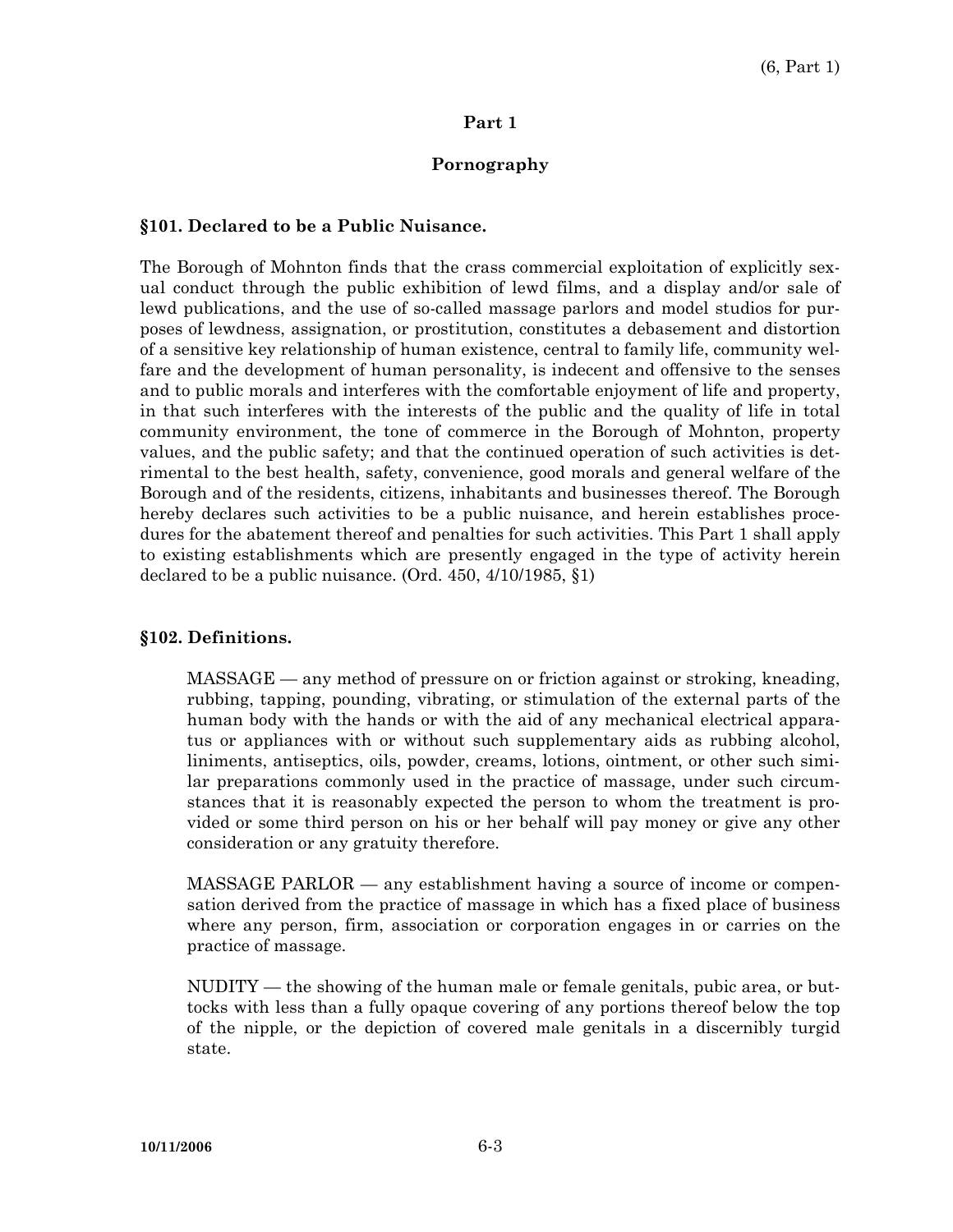#### **Part 1**

#### **Pornography**

#### **§101. Declared to be a Public Nuisance.**

The Borough of Mohnton finds that the crass commercial exploitation of explicitly sexual conduct through the public exhibition of lewd films, and a display and/or sale of lewd publications, and the use of so-called massage parlors and model studios for purposes of lewdness, assignation, or prostitution, constitutes a debasement and distortion of a sensitive key relationship of human existence, central to family life, community welfare and the development of human personality, is indecent and offensive to the senses and to public morals and interferes with the comfortable enjoyment of life and property, in that such interferes with the interests of the public and the quality of life in total community environment, the tone of commerce in the Borough of Mohnton, property values, and the public safety; and that the continued operation of such activities is detrimental to the best health, safety, convenience, good morals and general welfare of the Borough and of the residents, citizens, inhabitants and businesses thereof. The Borough hereby declares such activities to be a public nuisance, and herein establishes procedures for the abatement thereof and penalties for such activities. This Part 1 shall apply to existing establishments which are presently engaged in the type of activity herein declared to be a public nuisance. (Ord. 450, 4/10/1985, §1)

#### **§102. Definitions.**

 MASSAGE — any method of pressure on or friction against or stroking, kneading, rubbing, tapping, pounding, vibrating, or stimulation of the external parts of the human body with the hands or with the aid of any mechanical electrical apparatus or appliances with or without such supplementary aids as rubbing alcohol, liniments, antiseptics, oils, powder, creams, lotions, ointment, or other such similar preparations commonly used in the practice of massage, under such circumstances that it is reasonably expected the person to whom the treatment is provided or some third person on his or her behalf will pay money or give any other consideration or any gratuity therefore.

 MASSAGE PARLOR — any establishment having a source of income or compensation derived from the practice of massage in which has a fixed place of business where any person, firm, association or corporation engages in or carries on the practice of massage.

 NUDITY — the showing of the human male or female genitals, pubic area, or buttocks with less than a fully opaque covering of any portions thereof below the top of the nipple, or the depiction of covered male genitals in a discernibly turgid state.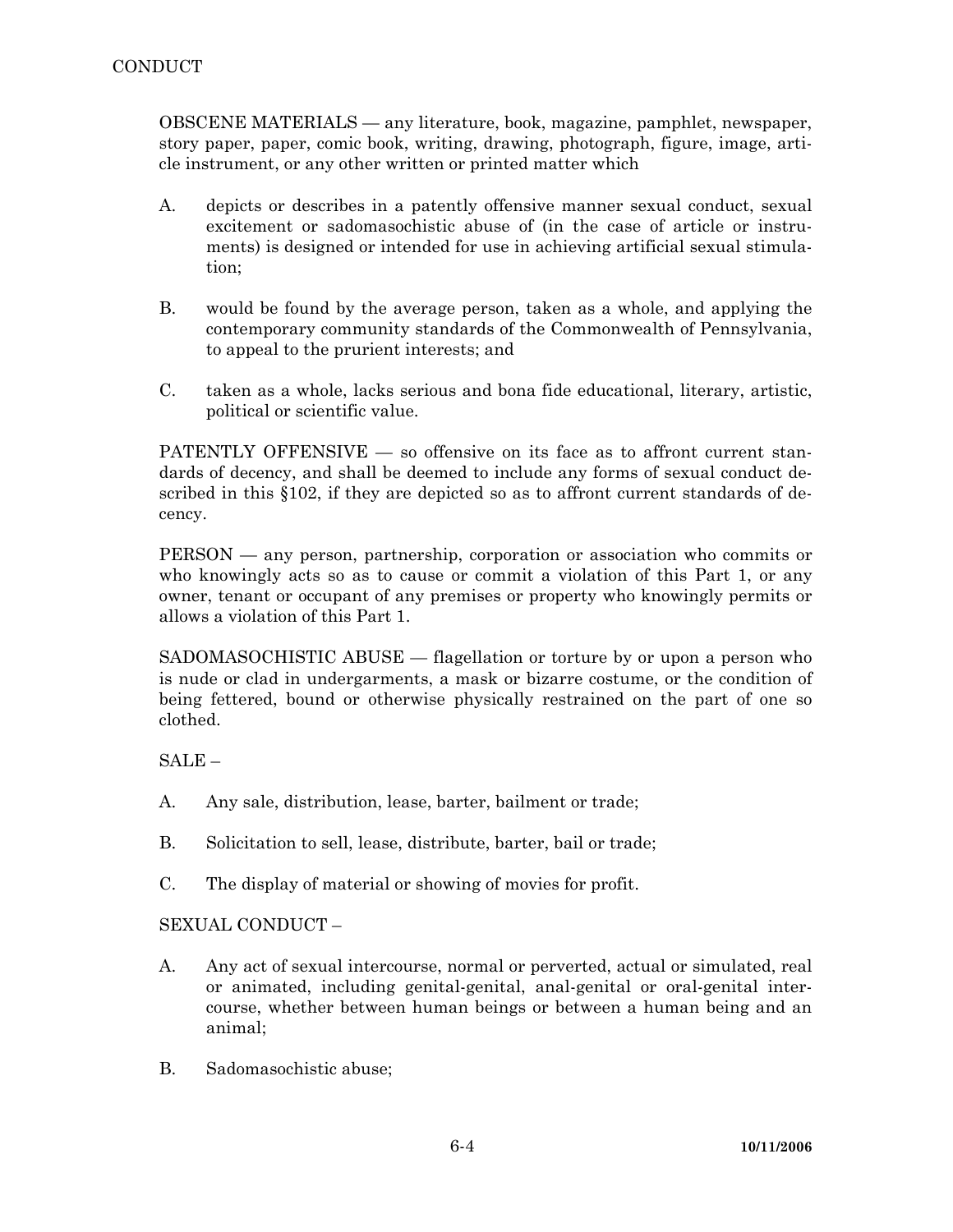OBSCENE MATERIALS — any literature, book, magazine, pamphlet, newspaper, story paper, paper, comic book, writing, drawing, photograph, figure, image, article instrument, or any other written or printed matter which

- A. depicts or describes in a patently offensive manner sexual conduct, sexual excitement or sadomasochistic abuse of (in the case of article or instruments) is designed or intended for use in achieving artificial sexual stimulation;
- B. would be found by the average person, taken as a whole, and applying the contemporary community standards of the Commonwealth of Pennsylvania, to appeal to the prurient interests; and
- C. taken as a whole, lacks serious and bona fide educational, literary, artistic, political or scientific value.

PATENTLY OFFENSIVE — so offensive on its face as to affront current standards of decency, and shall be deemed to include any forms of sexual conduct described in this §102, if they are depicted so as to affront current standards of decency.

 PERSON — any person, partnership, corporation or association who commits or who knowingly acts so as to cause or commit a violation of this Part 1, or any owner, tenant or occupant of any premises or property who knowingly permits or allows a violation of this Part 1.

 SADOMASOCHISTIC ABUSE — flagellation or torture by or upon a person who is nude or clad in undergarments, a mask or bizarre costume, or the condition of being fettered, bound or otherwise physically restrained on the part of one so clothed.

SALE –

- A. Any sale, distribution, lease, barter, bailment or trade;
- B. Solicitation to sell, lease, distribute, barter, bail or trade;
- C. The display of material or showing of movies for profit.

SEXUAL CONDUCT –

- A. Any act of sexual intercourse, normal or perverted, actual or simulated, real or animated, including genital-genital, anal-genital or oral-genital intercourse, whether between human beings or between a human being and an animal;
- B. Sadomasochistic abuse;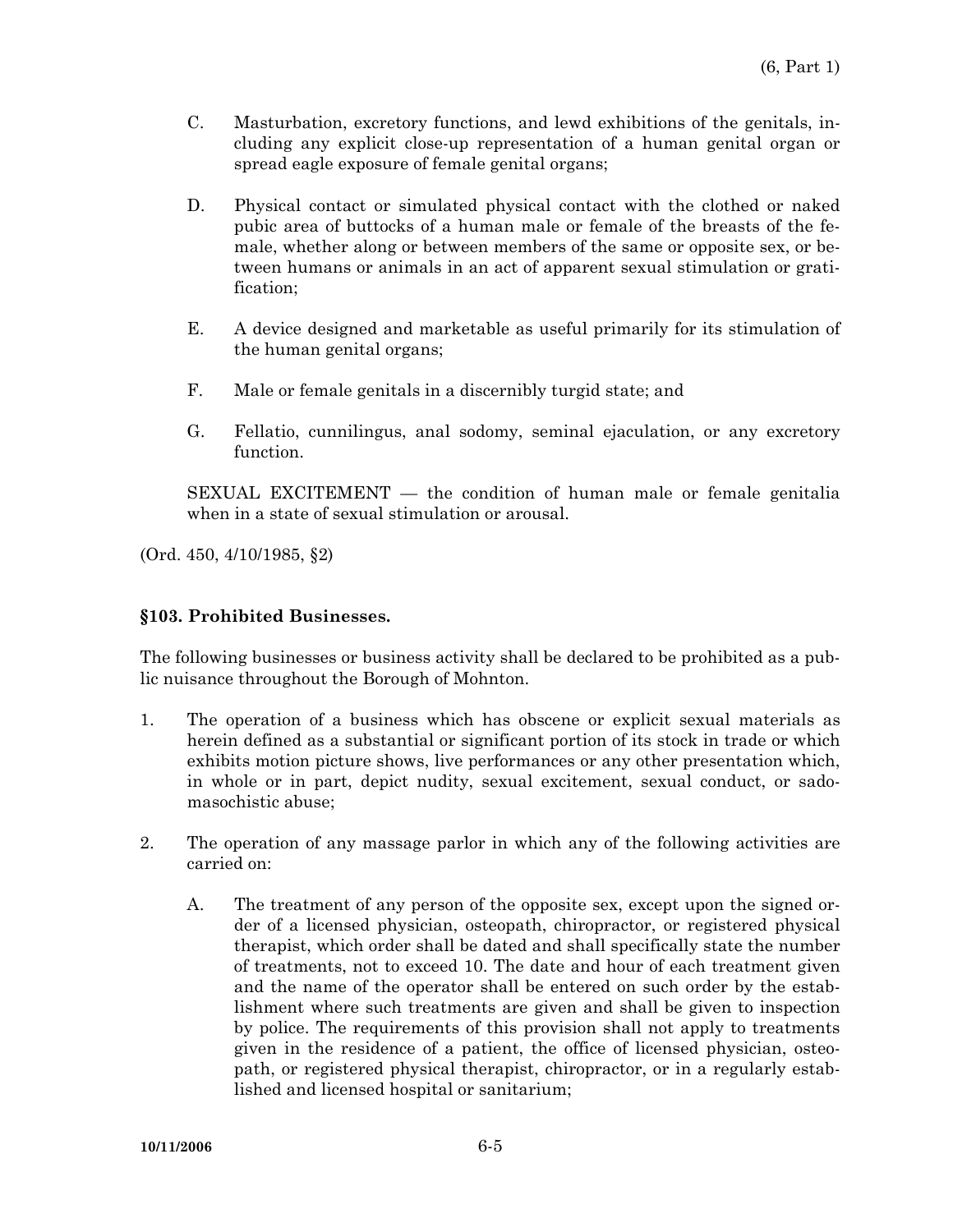- C. Masturbation, excretory functions, and lewd exhibitions of the genitals, including any explicit close-up representation of a human genital organ or spread eagle exposure of female genital organs;
- D. Physical contact or simulated physical contact with the clothed or naked pubic area of buttocks of a human male or female of the breasts of the female, whether along or between members of the same or opposite sex, or between humans or animals in an act of apparent sexual stimulation or gratification;
- E. A device designed and marketable as useful primarily for its stimulation of the human genital organs;
- F. Male or female genitals in a discernibly turgid state; and
- G. Fellatio, cunnilingus, anal sodomy, seminal ejaculation, or any excretory function.

 SEXUAL EXCITEMENT — the condition of human male or female genitalia when in a state of sexual stimulation or arousal.

(Ord. 450, 4/10/1985, §2)

#### **§103. Prohibited Businesses.**

The following businesses or business activity shall be declared to be prohibited as a public nuisance throughout the Borough of Mohnton.

- 1. The operation of a business which has obscene or explicit sexual materials as herein defined as a substantial or significant portion of its stock in trade or which exhibits motion picture shows, live performances or any other presentation which, in whole or in part, depict nudity, sexual excitement, sexual conduct, or sadomasochistic abuse;
- 2. The operation of any massage parlor in which any of the following activities are carried on:
	- A. The treatment of any person of the opposite sex, except upon the signed order of a licensed physician, osteopath, chiropractor, or registered physical therapist, which order shall be dated and shall specifically state the number of treatments, not to exceed 10. The date and hour of each treatment given and the name of the operator shall be entered on such order by the establishment where such treatments are given and shall be given to inspection by police. The requirements of this provision shall not apply to treatments given in the residence of a patient, the office of licensed physician, osteopath, or registered physical therapist, chiropractor, or in a regularly established and licensed hospital or sanitarium;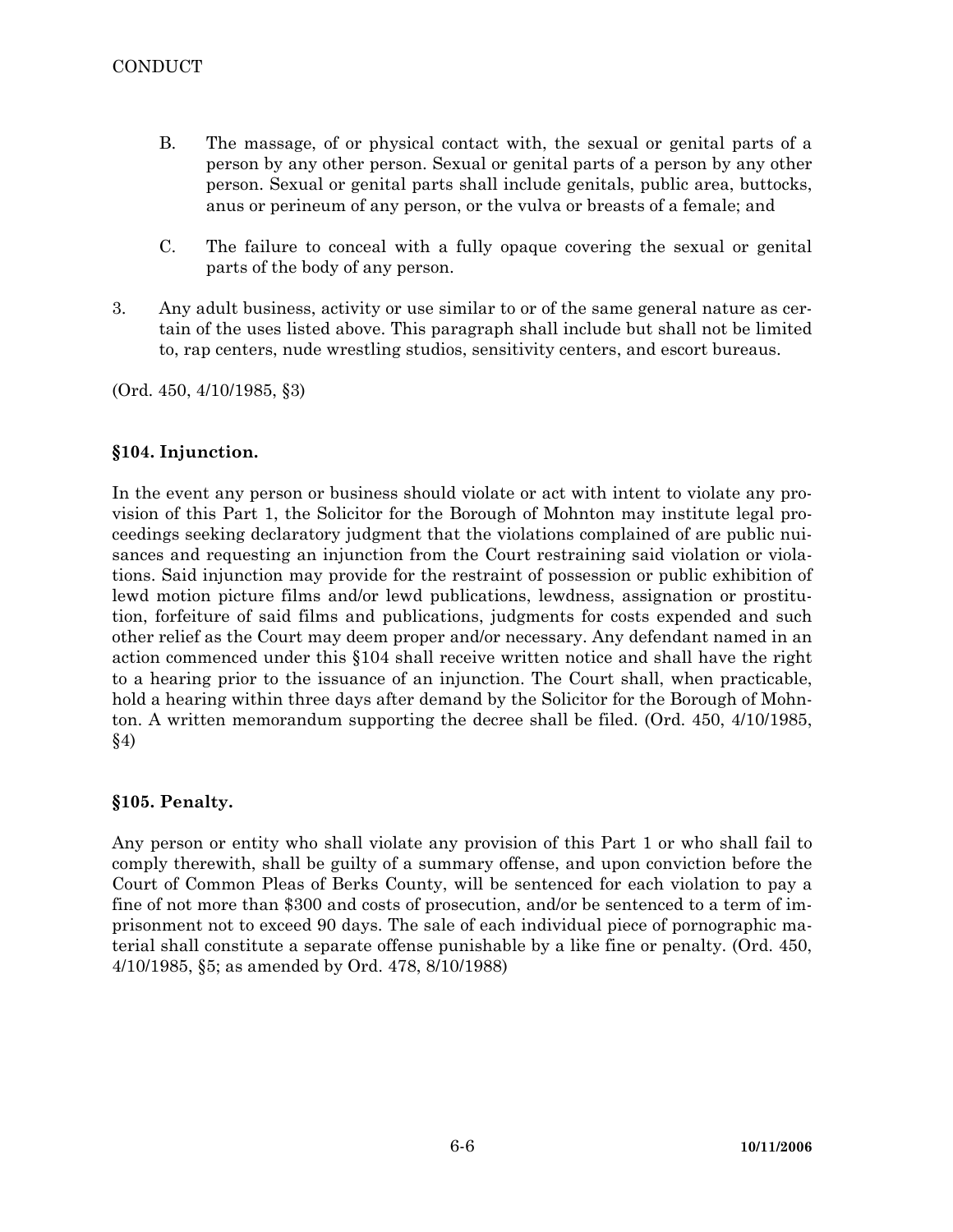- B. The massage, of or physical contact with, the sexual or genital parts of a person by any other person. Sexual or genital parts of a person by any other person. Sexual or genital parts shall include genitals, public area, buttocks, anus or perineum of any person, or the vulva or breasts of a female; and
- C. The failure to conceal with a fully opaque covering the sexual or genital parts of the body of any person.
- 3. Any adult business, activity or use similar to or of the same general nature as certain of the uses listed above. This paragraph shall include but shall not be limited to, rap centers, nude wrestling studios, sensitivity centers, and escort bureaus.

(Ord. 450, 4/10/1985, §3)

## **§104. Injunction.**

In the event any person or business should violate or act with intent to violate any provision of this Part 1, the Solicitor for the Borough of Mohnton may institute legal proceedings seeking declaratory judgment that the violations complained of are public nuisances and requesting an injunction from the Court restraining said violation or violations. Said injunction may provide for the restraint of possession or public exhibition of lewd motion picture films and/or lewd publications, lewdness, assignation or prostitution, forfeiture of said films and publications, judgments for costs expended and such other relief as the Court may deem proper and/or necessary. Any defendant named in an action commenced under this §104 shall receive written notice and shall have the right to a hearing prior to the issuance of an injunction. The Court shall, when practicable, hold a hearing within three days after demand by the Solicitor for the Borough of Mohnton. A written memorandum supporting the decree shall be filed. (Ord. 450, 4/10/1985, §4)

## **§105. Penalty.**

Any person or entity who shall violate any provision of this Part 1 or who shall fail to comply therewith, shall be guilty of a summary offense, and upon conviction before the Court of Common Pleas of Berks County, will be sentenced for each violation to pay a fine of not more than \$300 and costs of prosecution, and/or be sentenced to a term of imprisonment not to exceed 90 days. The sale of each individual piece of pornographic material shall constitute a separate offense punishable by a like fine or penalty. (Ord. 450, 4/10/1985, §5; as amended by Ord. 478, 8/10/1988)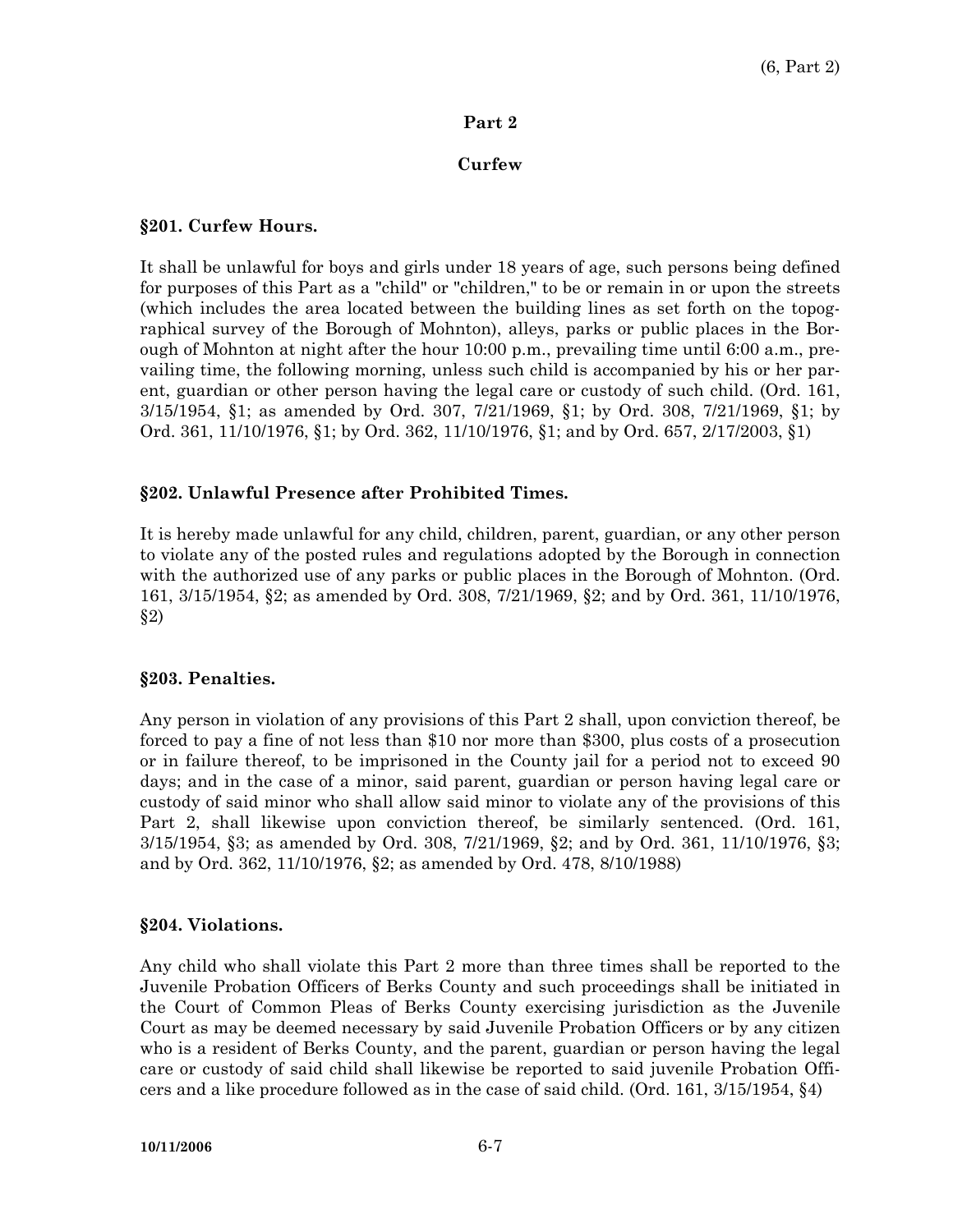## **Part 2**

# **Curfew**

#### **§201. Curfew Hours.**

It shall be unlawful for boys and girls under 18 years of age, such persons being defined for purposes of this Part as a "child" or "children," to be or remain in or upon the streets (which includes the area located between the building lines as set forth on the topographical survey of the Borough of Mohnton), alleys, parks or public places in the Borough of Mohnton at night after the hour 10:00 p.m., prevailing time until 6:00 a.m., prevailing time, the following morning, unless such child is accompanied by his or her parent, guardian or other person having the legal care or custody of such child. (Ord. 161, 3/15/1954, §1; as amended by Ord. 307, 7/21/1969, §1; by Ord. 308, 7/21/1969, §1; by Ord. 361, 11/10/1976, §1; by Ord. 362, 11/10/1976, §1; and by Ord. 657, 2/17/2003, §1)

## **§202. Unlawful Presence after Prohibited Times.**

It is hereby made unlawful for any child, children, parent, guardian, or any other person to violate any of the posted rules and regulations adopted by the Borough in connection with the authorized use of any parks or public places in the Borough of Mohnton. (Ord. 161, 3/15/1954, §2; as amended by Ord. 308, 7/21/1969, §2; and by Ord. 361, 11/10/1976, §2)

## **§203. Penalties.**

Any person in violation of any provisions of this Part 2 shall, upon conviction thereof, be forced to pay a fine of not less than \$10 nor more than \$300, plus costs of a prosecution or in failure thereof, to be imprisoned in the County jail for a period not to exceed 90 days; and in the case of a minor, said parent, guardian or person having legal care or custody of said minor who shall allow said minor to violate any of the provisions of this Part 2, shall likewise upon conviction thereof, be similarly sentenced. (Ord. 161, 3/15/1954, §3; as amended by Ord. 308, 7/21/1969, §2; and by Ord. 361, 11/10/1976, §3; and by Ord. 362, 11/10/1976, §2; as amended by Ord. 478, 8/10/1988)

## **§204. Violations.**

Any child who shall violate this Part 2 more than three times shall be reported to the Juvenile Probation Officers of Berks County and such proceedings shall be initiated in the Court of Common Pleas of Berks County exercising jurisdiction as the Juvenile Court as may be deemed necessary by said Juvenile Probation Officers or by any citizen who is a resident of Berks County, and the parent, guardian or person having the legal care or custody of said child shall likewise be reported to said juvenile Probation Officers and a like procedure followed as in the case of said child. (Ord. 161, 3/15/1954, §4)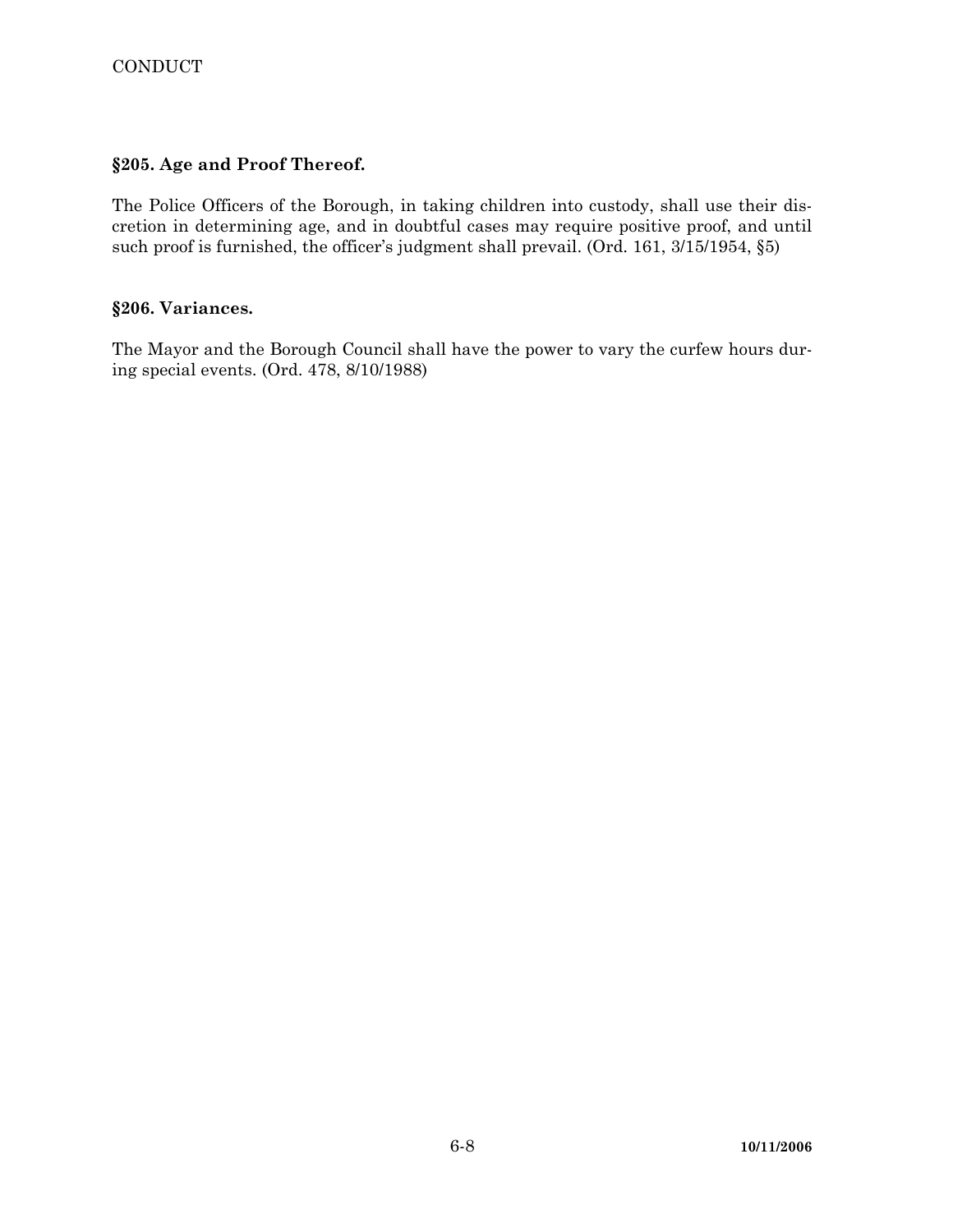# **§205. Age and Proof Thereof.**

The Police Officers of the Borough, in taking children into custody, shall use their discretion in determining age, and in doubtful cases may require positive proof, and until such proof is furnished, the officer's judgment shall prevail. (Ord. 161, 3/15/1954, §5)

#### **§206. Variances.**

The Mayor and the Borough Council shall have the power to vary the curfew hours during special events. (Ord. 478, 8/10/1988)